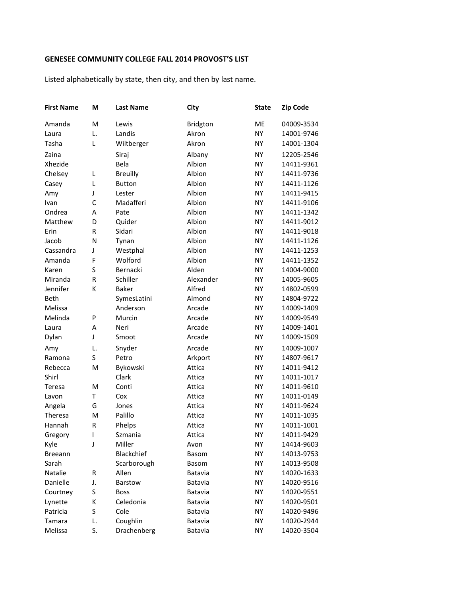## **GENESEE COMMUNITY COLLEGE FALL 2014 PROVOST'S LIST**

Listed alphabetically by state, then city, and then by last name.

| <b>First Name</b> | M           | <b>Last Name</b> | City         | <b>State</b> | <b>Zip Code</b> |
|-------------------|-------------|------------------|--------------|--------------|-----------------|
| Amanda            | M           | Lewis            | Bridgton     | ME           | 04009-3534      |
| Laura             | L.          | Landis           | Akron        | <b>NY</b>    | 14001-9746      |
| Tasha             | L           | Wiltberger       | Akron        | <b>NY</b>    | 14001-1304      |
| Zaina             |             | Siraj            | Albany       | <b>NY</b>    | 12205-2546      |
| Xhezide           |             | Bela             | Albion       | <b>NY</b>    | 14411-9361      |
| Chelsey           | L           | <b>Breuilly</b>  | Albion       | <b>NY</b>    | 14411-9736      |
| Casey             | L           | <b>Button</b>    | Albion       | <b>NY</b>    | 14411-1126      |
| Amy               | J           | Lester           | Albion       | <b>NY</b>    | 14411-9415      |
| Ivan              | C           | Madafferi        | Albion       | <b>NY</b>    | 14411-9106      |
| Ondrea            | Α           | Pate             | Albion       | <b>NY</b>    | 14411-1342      |
| Matthew           | D           | Quider           | Albion       | <b>NY</b>    | 14411-9012      |
| Erin              | R           | Sidari           | Albion       | <b>NY</b>    | 14411-9018      |
| Jacob             | N           | Tynan            | Albion       | <b>NY</b>    | 14411-1126      |
| Cassandra         | J           | Westphal         | Albion       | <b>NY</b>    | 14411-1253      |
| Amanda            | F           | Wolford          | Albion       | <b>NY</b>    | 14411-1352      |
| Karen             | S           | Bernacki         | Alden        | <b>NY</b>    | 14004-9000      |
| Miranda           | $\mathsf R$ | Schiller         | Alexander    | <b>NY</b>    | 14005-9605      |
| Jennifer          | К           | <b>Baker</b>     | Alfred       | <b>NY</b>    | 14802-0599      |
| <b>Beth</b>       |             | SymesLatini      | Almond       | <b>NY</b>    | 14804-9722      |
| Melissa           |             | Anderson         | Arcade       | <b>NY</b>    | 14009-1409      |
| Melinda           | P           | Murcin           | Arcade       | <b>NY</b>    | 14009-9549      |
| Laura             | Α           | Neri             | Arcade       | <b>NY</b>    | 14009-1401      |
| Dylan             | J           | Smoot            | Arcade       | <b>NY</b>    | 14009-1509      |
| Amy               | L.          | Snyder           | Arcade       | <b>NY</b>    | 14009-1007      |
| Ramona            | S           | Petro            | Arkport      | <b>NY</b>    | 14807-9617      |
| Rebecca           | M           | Bykowski         | Attica       | <b>NY</b>    | 14011-9412      |
| Shirl             |             | Clark            | Attica       | <b>NY</b>    | 14011-1017      |
| Teresa            | M           | Conti            | Attica       | <b>NY</b>    | 14011-9610      |
| Lavon             | T           | Cox              | Attica       | <b>NY</b>    | 14011-0149      |
| Angela            | G           | Jones            | Attica       | <b>NY</b>    | 14011-9624      |
| <b>Theresa</b>    | M           | Palillo          | Attica       | <b>NY</b>    | 14011-1035      |
| Hannah            | R           | Phelps           | Attica       | <b>NY</b>    | 14011-1001      |
| Gregory           | I           | Szmania          | Attica       | <b>NY</b>    | 14011-9429      |
| Kyle              | J           | Miller           | Avon         | <b>NY</b>    | 14414-9603      |
| <b>Breeann</b>    |             | Blackchief       | Basom        | NY           | 14013-9753      |
| Sarah             |             | Scarborough      | <b>Basom</b> | <b>NY</b>    | 14013-9508      |
| Natalie           | R           | Allen            | Batavia      | NY           | 14020-1633      |
| Danielle          | J.          | Barstow          | Batavia      | NY           | 14020-9516      |
| Courtney          | S           | <b>Boss</b>      | Batavia      | NY           | 14020-9551      |
| Lynette           | К           | Celedonia        | Batavia      | <b>NY</b>    | 14020-9501      |
| Patricia          | S           | Cole             | Batavia      | NY           | 14020-9496      |
| Tamara            | L.          | Coughlin         | Batavia      | <b>NY</b>    | 14020-2944      |
| Melissa           | S.          | Drachenberg      | Batavia      | <b>NY</b>    | 14020-3504      |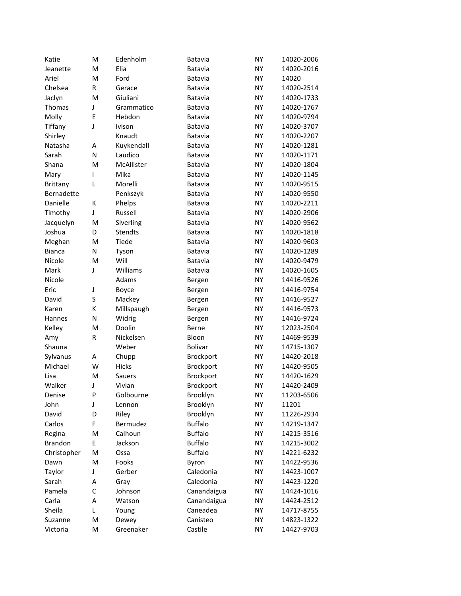| Katie           | M            | Edenholm       | Batavia        | <b>NY</b> | 14020-2006 |
|-----------------|--------------|----------------|----------------|-----------|------------|
| Jeanette        | M            | Elia           | Batavia        | <b>NY</b> | 14020-2016 |
| Ariel           | M            | Ford           | Batavia        | NY        | 14020      |
| Chelsea         | R            | Gerace         | Batavia        | <b>NY</b> | 14020-2514 |
| Jaclyn          | M            | Giuliani       | Batavia        | <b>NY</b> | 14020-1733 |
| Thomas          | J            | Grammatico     | Batavia        | <b>NY</b> | 14020-1767 |
| Molly           | E            | Hebdon         | Batavia        | NΥ        | 14020-9794 |
| Tiffany         | J            | Ivison         | Batavia        | NY        | 14020-3707 |
| Shirley         |              | Knaudt         | Batavia        | <b>NY</b> | 14020-2207 |
| Natasha         | Α            | Kuykendall     | Batavia        | <b>NY</b> | 14020-1281 |
| Sarah           | N            | Laudico        | Batavia        | NY        | 14020-1171 |
| Shana           | M            | McAllister     | Batavia        | <b>NY</b> | 14020-1804 |
| Mary            | I            | Mika           | Batavia        | <b>NY</b> | 14020-1145 |
| <b>Brittany</b> | Г            | Morelli        | Batavia        | <b>NY</b> | 14020-9515 |
| Bernadette      |              | Penkszyk       | Batavia        | NΥ        | 14020-9550 |
| Danielle        | К            | Phelps         | Batavia        | <b>NY</b> | 14020-2211 |
| Timothy         | J            | Russell        | Batavia        | <b>NY</b> | 14020-2906 |
| Jacquelyn       | M            | Siverling      | Batavia        | <b>NY</b> | 14020-9562 |
| Joshua          | D            | <b>Stendts</b> | Batavia        | <b>NY</b> | 14020-1818 |
| Meghan          | M            | Tiede          | Batavia        | <b>NY</b> | 14020-9603 |
| <b>Bianca</b>   | N            | Tyson          | Batavia        | <b>NY</b> | 14020-1289 |
| Nicole          | M            | Will           | Batavia        | <b>NY</b> | 14020-9479 |
| Mark            | J            | Williams       | Batavia        | NΥ        | 14020-1605 |
| Nicole          |              | Adams          | Bergen         | NY        | 14416-9526 |
| Eric            | J            | Boyce          | Bergen         | <b>NY</b> | 14416-9754 |
| David           | S            | Mackey         | Bergen         | <b>NY</b> | 14416-9527 |
| Karen           | К            | Millspaugh     | Bergen         | NY        | 14416-9573 |
| Hannes          | N            | Widrig         | Bergen         | <b>NY</b> | 14416-9724 |
| Kelley          | M            | Doolin         | Berne          | NY        | 12023-2504 |
| Amy             | R            | Nickelsen      | Bloon          | NY        | 14469-9539 |
| Shauna          |              | Weber          | Bolivar        | NΥ        | 14715-1307 |
| Sylvanus        | А            | Chupp          | Brockport      | NY        | 14420-2018 |
| Michael         | W            | Hicks          | Brockport      | NY        | 14420-9505 |
| Lisa            | M            | Sauers         | Brockport      | NY        | 14420-1629 |
| Walker          | J            | Vivian         | Brockport      | NY        | 14420-2409 |
| Denise          | P            | Golbourne      | Brooklyn       | <b>NY</b> | 11203-6506 |
| John            | J            | Lennon         | Brooklyn       | <b>NY</b> | 11201      |
| David           | D            | Riley          | Brooklyn       | NΥ        | 11226-2934 |
| Carlos          | F            | Bermudez       | <b>Buffalo</b> | NΥ        | 14219-1347 |
| Regina          | M            | Calhoun        | <b>Buffalo</b> | <b>NY</b> | 14215-3516 |
| Brandon         | E            | Jackson        | <b>Buffalo</b> | <b>NY</b> | 14215-3002 |
| Christopher     | M            | Ossa           | <b>Buffalo</b> | <b>NY</b> | 14221-6232 |
| Dawn            | M            | Fooks          | Byron          | NΥ        | 14422-9536 |
| Taylor          | J            | Gerber         | Caledonia      | NΥ        | 14423-1007 |
| Sarah           | А            | Gray           | Caledonia      | NΥ        | 14423-1220 |
| Pamela          | $\mathsf{C}$ | Johnson        | Canandaigua    | NΥ        | 14424-1016 |
| Carla           | А            | Watson         | Canandaigua    | NΥ        | 14424-2512 |
| Sheila          | L            | Young          | Caneadea       | NΥ        | 14717-8755 |
| Suzanne         | M            | Dewey          | Canisteo       | NY        | 14823-1322 |
| Victoria        | M            | Greenaker      | Castile        | <b>NY</b> | 14427-9703 |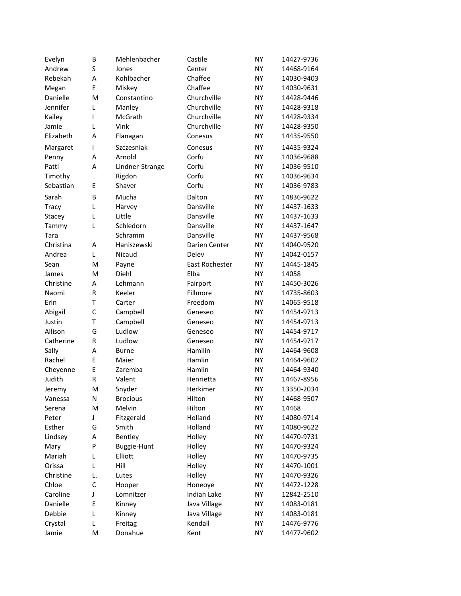| Evelyn    | B            | Mehlenbacher    | Castile        | <b>NY</b> | 14427-9736 |
|-----------|--------------|-----------------|----------------|-----------|------------|
| Andrew    | S            | Jones           | Center         | <b>NY</b> | 14468-9164 |
| Rebekah   | A            | Kohlbacher      | Chaffee        | <b>NY</b> | 14030-9403 |
| Megan     | E            | Miskey          | Chaffee        | <b>NY</b> | 14030-9631 |
| Danielle  | M            | Constantino     | Churchville    | <b>NY</b> | 14428-9446 |
| Jennifer  | L            | Manley          | Churchville    | <b>NY</b> | 14428-9318 |
| Kailey    | T            | McGrath         | Churchville    | <b>NY</b> | 14428-9334 |
| Jamie     | L            | Vink            | Churchville    | <b>NY</b> | 14428-9350 |
| Elizabeth | A            | Flanagan        | Conesus        | <b>NY</b> | 14435-9550 |
| Margaret  | T            | Szczesniak      | Conesus        | <b>NY</b> | 14435-9324 |
| Penny     | Α            | Arnold          | Corfu          | <b>NY</b> | 14036-9688 |
| Patti     | A            | Lindner-Strange | Corfu          | <b>NY</b> | 14036-9510 |
| Timothy   |              | Rigdon          | Corfu          | <b>NY</b> | 14036-9634 |
| Sebastian | Ε            | Shaver          | Corfu          | <b>NY</b> | 14036-9783 |
| Sarah     | B            | Mucha           | Dalton         | <b>NY</b> | 14836-9622 |
| Tracy     | L            | Harvey          | Dansville      | <b>NY</b> | 14437-1633 |
| Stacey    | L            | Little          | Dansville      | <b>NY</b> | 14437-1633 |
| Tammy     | L            | Schledorn       | Dansville      | <b>NY</b> | 14437-1647 |
| Tara      |              | Schramm         | Dansville      | <b>NY</b> | 14437-9568 |
| Christina | Α            | Haniszewski     | Darien Center  | <b>NY</b> | 14040-9520 |
| Andrea    | L            | Nicaud          | Delev          | <b>NY</b> | 14042-0157 |
| Sean      | M            | Payne           | East Rochester | <b>NY</b> | 14445-1845 |
| James     | M            | Diehl           | Elba           | <b>NY</b> | 14058      |
| Christine | Α            | Lehmann         | Fairport       | <b>NY</b> | 14450-3026 |
| Naomi     | $\mathsf R$  | Keeler          | Fillmore       | <b>NY</b> | 14735-8603 |
| Erin      | T            | Carter          | Freedom        | <b>NY</b> | 14065-9518 |
| Abigail   | $\mathsf{C}$ | Campbell        | Geneseo        | <b>NY</b> | 14454-9713 |
| Justin    | T            | Campbell        | Geneseo        | <b>NY</b> | 14454-9713 |
| Allison   | G            | Ludlow          | Geneseo        | <b>NY</b> | 14454-9717 |
| Catherine | $\mathsf R$  | Ludlow          | Geneseo        | <b>NY</b> | 14454-9717 |
| Sally     | Α            | <b>Burne</b>    | Hamilin        | <b>NY</b> | 14464-9608 |
| Rachel    | E            | Maier           | Hamlin         | ΝY        | 14464-9602 |
| Cheyenne  | E            | Zaremba         | Hamlin         | NY        | 14464-9340 |
| Judith    | R            | Valent          | Henrietta      | <b>NY</b> | 14467-8956 |
| Jeremy    | M            | Snyder          | Herkimer       | <b>NY</b> | 13350-2034 |
| Vanessa   | Ν            | <b>Brocious</b> | Hilton         | NY        | 14468-9507 |
| Serena    | M            | Melvin          | Hilton         | <b>NY</b> | 14468      |
| Peter     | J            | Fitzgerald      | Holland        | <b>NY</b> | 14080-9714 |
| Esther    | G            | Smith           | Holland        | <b>NY</b> | 14080-9622 |
| Lindsey   | Α            | Bentley         | Holley         | ΝY        | 14470-9731 |
| Mary      | ${\sf P}$    | Buggie-Hunt     | Holley         | ΝY        | 14470-9324 |
| Mariah    | L            | Elliott         | Holley         | ΝY        | 14470-9735 |
| Orissa    | L            | Hill            | Holley         | NY        | 14470-1001 |
| Christine | L.           | Lutes           | Holley         | NY        | 14470-9326 |
| Chloe     | $\mathsf{C}$ | Hooper          | Honeoye        | <b>NY</b> | 14472-1228 |
| Caroline  | J            | Lomnitzer       | Indian Lake    | <b>NY</b> | 12842-2510 |
| Danielle  | E            | Kinney          | Java Village   | <b>NY</b> | 14083-0181 |
| Debbie    | L            | Kinney          | Java Village   | ΝY        | 14083-0181 |
| Crystal   | L            | Freitag         | Kendall        | ΝY        | 14476-9776 |
| Jamie     | M            | Donahue         | Kent           | NΥ        | 14477-9602 |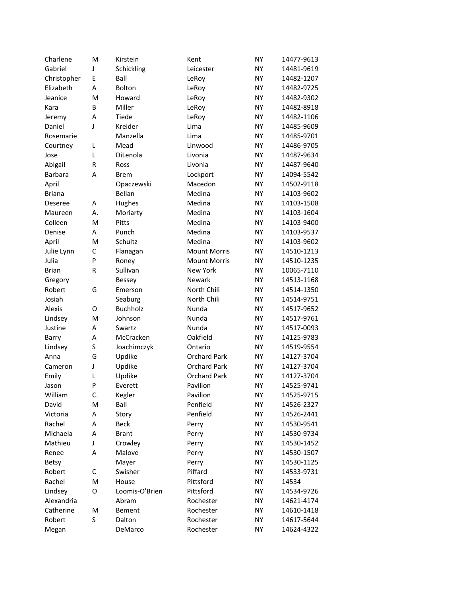| Charlene      | M  | Kirstein        | Kent                | <b>NY</b> | 14477-9613 |
|---------------|----|-----------------|---------------------|-----------|------------|
| Gabriel       | J  | Schickling      | Leicester           | <b>NY</b> | 14481-9619 |
| Christopher   | Ε  | Ball            | LeRoy               | <b>NY</b> | 14482-1207 |
| Elizabeth     | Α  | <b>Bolton</b>   | LeRoy               | <b>NY</b> | 14482-9725 |
| Jeanice       | M  | Howard          | LeRoy               | <b>NY</b> | 14482-9302 |
| Kara          | B  | Miller          | LeRoy               | <b>NY</b> | 14482-8918 |
| Jeremy        | Α  | Tiede           | LeRoy               | <b>NY</b> | 14482-1106 |
| Daniel        | J  | Kreider         | Lima                | <b>NY</b> | 14485-9609 |
| Rosemarie     |    | Manzella        | Lima                | <b>NY</b> | 14485-9701 |
| Courtney      | L  | Mead            | Linwood             | <b>NY</b> | 14486-9705 |
| Jose          | L  | DiLenola        | Livonia             | <b>NY</b> | 14487-9634 |
| Abigail       | R  | Ross            | Livonia             | <b>NY</b> | 14487-9640 |
| Barbara       | Α  | Brem            | Lockport            | <b>NY</b> | 14094-5542 |
| April         |    | Opaczewski      | Macedon             | <b>NY</b> | 14502-9118 |
| <b>Briana</b> |    | Bellan          | Medina              | <b>NY</b> | 14103-9602 |
| Deseree       | A  | Hughes          | Medina              | <b>NY</b> | 14103-1508 |
| Maureen       | А. | Moriarty        | Medina              | <b>NY</b> | 14103-1604 |
| Colleen       | M  | Pitts           | Medina              | <b>NY</b> | 14103-9400 |
| Denise        | А  | Punch           | Medina              | <b>NY</b> | 14103-9537 |
| April         | M  | Schultz         | Medina              | <b>NY</b> | 14103-9602 |
| Julie Lynn    | C  | Flanagan        | <b>Mount Morris</b> | <b>NY</b> | 14510-1213 |
| Julia         | P  | Roney           | <b>Mount Morris</b> | <b>NY</b> | 14510-1235 |
| <b>Brian</b>  | R  | Sullivan        | <b>New York</b>     | <b>NY</b> | 10065-7110 |
| Gregory       |    | <b>Bessey</b>   | Newark              | <b>NY</b> | 14513-1168 |
| Robert        | G  | Emerson         | North Chili         | <b>NY</b> | 14514-1350 |
| Josiah        |    | Seaburg         | North Chili         | <b>NY</b> | 14514-9751 |
| Alexis        | O  | <b>Buchholz</b> | Nunda               | <b>NY</b> | 14517-9652 |
| Lindsey       | M  | Johnson         | Nunda               | <b>NY</b> | 14517-9761 |
| Justine       | Α  | Swartz          | Nunda               | <b>NY</b> | 14517-0093 |
| Barry         | Α  | McCracken       | Oakfield            | <b>NY</b> | 14125-9783 |
| Lindsey       | S  | Joachimczyk     | Ontario             | <b>NY</b> | 14519-9554 |
| Anna          | G  | Updike          | <b>Orchard Park</b> | NY        | 14127-3704 |
| Cameron       | J  | Updike          | <b>Orchard Park</b> | <b>NY</b> | 14127-3704 |
| Emily         | L  | Updike          | <b>Orchard Park</b> | <b>NY</b> | 14127-3704 |
| Jason         | P  | Everett         | Pavilion            | <b>NY</b> | 14525-9741 |
| William       | C. | Kegler          | Pavilion            | <b>NY</b> | 14525-9715 |
| David         | M  | Ball            | Penfield            | <b>NY</b> | 14526-2327 |
| Victoria      | Α  | Story           | Penfield            | <b>NY</b> | 14526-2441 |
| Rachel        | А  | <b>Beck</b>     | Perry               | <b>NY</b> | 14530-9541 |
| Michaela      | A  | <b>Brant</b>    | Perry               | <b>NY</b> | 14530-9734 |
| Mathieu       | J  | Crowley         | Perry               | <b>NY</b> | 14530-1452 |
| Renee         | Α  | Malove          | Perry               | <b>NY</b> | 14530-1507 |
| <b>Betsy</b>  |    | Mayer           | Perry               | <b>NY</b> | 14530-1125 |
| Robert        | C  | Swisher         | Piffard             | <b>NY</b> | 14533-9731 |
| Rachel        | M  | House           | Pittsford           | <b>NY</b> | 14534      |
| Lindsey       | O  | Loomis-O'Brien  | Pittsford           | <b>NY</b> | 14534-9726 |
| Alexandria    |    | Abram           | Rochester           | <b>NY</b> | 14621-4174 |
| Catherine     | M  | <b>Bement</b>   | Rochester           | <b>NY</b> | 14610-1418 |
| Robert        | S  | Dalton          | Rochester           | <b>NY</b> | 14617-5644 |
| Megan         |    | DeMarco         | Rochester           | <b>NY</b> | 14624-4322 |